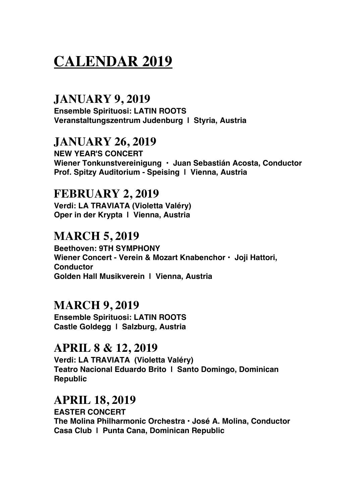# **CALENDAR 2019**

# **JANUARY 9, 2019**

**Ensemble Spirituosi: LATIN ROOTS Veranstaltungszentrum Judenburg | Styria, Austria**

# **JANUARY 26, 2019**

**NEW YEAR'S CONCERT Wiener Tonkunstvereinigung • Juan Sebastián Acosta, Conductor Prof. Spitzy Auditorium - Speising | Vienna, Austria**

## **FEBRUARY 2, 2019**

**Verdi: LA TRAVIATA (Violetta Valéry) Oper in der Krypta | Vienna, Austria**

# **MARCH 5, 2019**

**Beethoven: 9TH SYMPHONY Wiener Concert - Verein & Mozart Knabenchor • Joji Hattori, Conductor Golden Hall Musikverein | Vienna, Austria**

## **MARCH 9, 2019**

**Ensemble Spirituosi: LATIN ROOTS Castle Goldegg | Salzburg, Austria**

## **APRIL 8 & 12, 2019**

**Verdi: LA TRAVIATA (Violetta Valéry) Teatro Nacional Eduardo Brito | Santo Domingo, Dominican Republic**

## **APRIL 18, 2019**

**EASTER CONCERT The Molina Philharmonic Orchestra • José A. Molina, Conductor Casa Club | Punta Cana, Dominican Republic**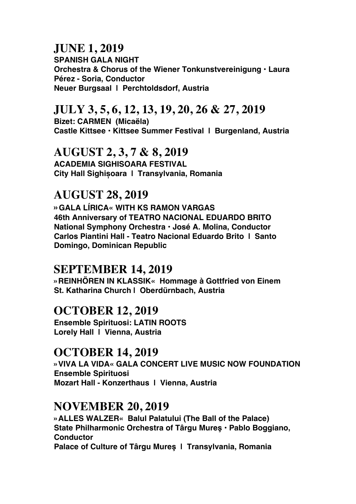# **JUNE 1, 2019**

**SPANISH GALA NIGHT Orchestra & Chorus of the Wiener Tonkunstvereinigung • Laura Pérez - Soria, Conductor Neuer Burgsaal | Perchtoldsdorf, Austria**

# **JULY 3, 5, 6, 12, 13, 19, 20, 26 & 27, 2019**

**Bizet: CARMEN (Micaëla) Castle Kittsee • Kittsee Summer Festival | Burgenland, Austria**

#### **AUGUST 2, 3, 7 & 8, 2019**

**ACADEMIA SIGHISOARA FESTIVAL City Hall Sighișoara | Transylvania, Romania**

# **AUGUST 28, 2019**

**»GALA LÍRICA« WITH KS RAMON VARGAS 46th Anniversary of TEATRO NACIONAL EDUARDO BRITO National Symphony Orchestra • José A. Molina, Conductor Carlos Piantini Hall - Teatro Nacional Eduardo Brito | Santo Domingo, Dominican Republic**

# **SEPTEMBER 14, 2019**

**»REINHÖREN IN KLASSIK« Hommage à Gottfried von Einem St. Katharina Church | Oberdürnbach, Austria**

# **OCTOBER 12, 2019**

**Ensemble Spirituosi: LATIN ROOTS Lorely Hall | Vienna, Austria**

# **OCTOBER 14, 2019**

**»VIVA LA VIDA« GALA CONCERT LIVE MUSIC NOW FOUNDATION Ensemble Spirituosi Mozart Hall - Konzerthaus | Vienna, Austria**

# **NOVEMBER 20, 2019**

**»ALLES WALZER« Balul Palatului (The Ball of the Palace) State Philharmonic Orchestra of Târgu Mureş • Pablo Boggiano, Conductor Palace of Culture of Târgu Mureş | Transylvania, Romania**